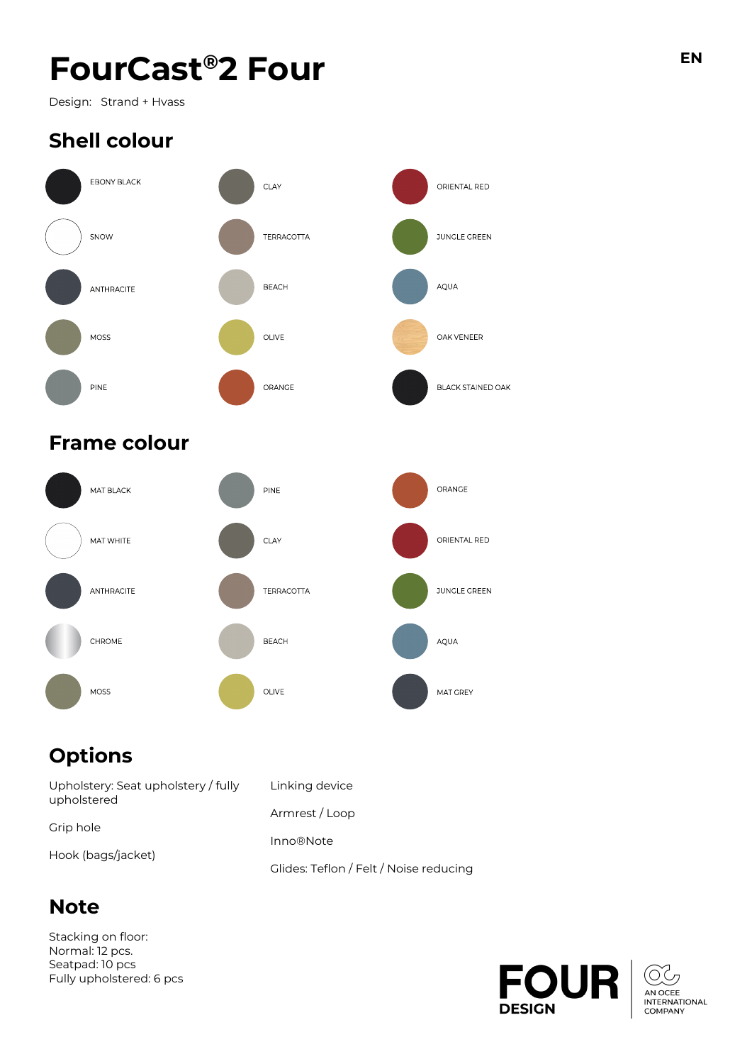# FourCast<sup>®</sup>2 Four **EN**

Design: Strand + Hvass

## **Shell colour**



## **Frame colour**



## **Options**

| Upholstery: Seat upholstery / fully<br>upholstered | Linking device                         |
|----------------------------------------------------|----------------------------------------|
|                                                    | Armrest / Loop                         |
| Grip hole                                          | <b>Inno®Note</b>                       |
| Hook (bags/jacket)                                 | Glides: Teflon / Felt / Noise reducing |

## **Note**

Stacking on floor: Normal: 12 pcs. Seatpad: 10 pcs Fully upholstered: 6 pcs

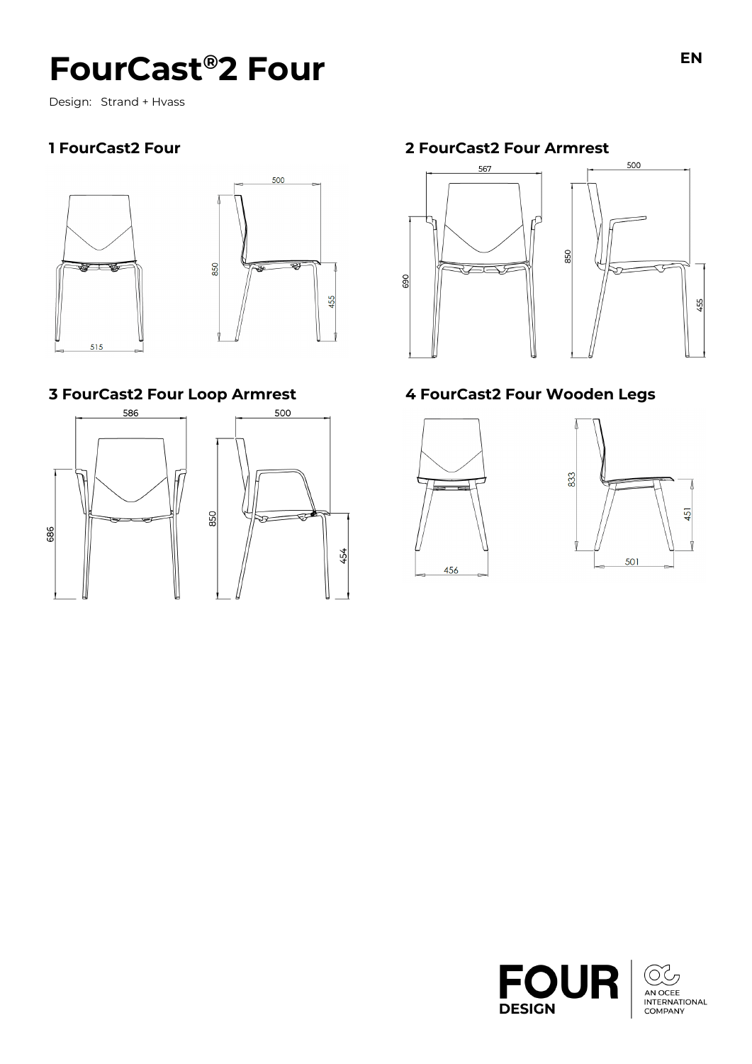# FourCast<sup>®</sup>2 Four **EN**

Design: Strand + Hvass







#### **1 FourCast2 Four 2 FourCast2 Four Armrest**



## **3 FourCast2 Four Loop Armrest 4 FourCast2 Four Wooden Legs**